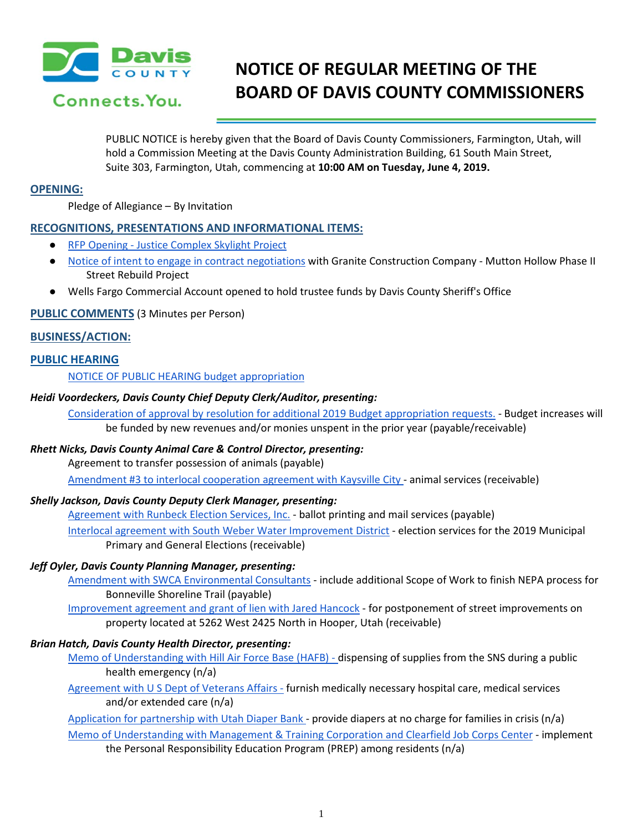

# **NOTICE OF REGULAR MEETING OF THE BOARD OF DAVIS COUNTY COMMISSIONERS**

PUBLIC NOTICE is hereby given that the Board of Davis County Commissioners, Farmington, Utah, will hold a Commission Meeting at the Davis County Administration Building, 61 South Main Street, Suite 303, Farmington, Utah, commencing at **10:00 AM on Tuesday, June 4, 2019.**

#### **OPENING:**

Pledge of Allegiance – By Invitation

### **RECOGNITIONS, PRESENTATIONS AND INFORMATIONAL ITEMS:**

- RFP Opening [Justice Complex Skylight Project](https://drive.google.com/a/co.davis.ut.us/file/d/1P6MbCcCcAzN6naEmwXWZ5f1ZcYPhCjrC/view?usp=drivesdk)
- [Notice of intent to engage in contract negotiations](https://drive.google.com/a/co.davis.ut.us/file/d/1trqwSi0ONJDUvV4sBSUbB6Jc856DwWox/view?usp=drivesdk) with Granite Construction Company Mutton Hollow Phase II Street Rebuild Project
- Wells Fargo Commercial Account opened to hold trustee funds by Davis County Sheriff's Office

### **PUBLIC COMMENTS** (3 Minutes per Person)

### **BUSINESS/ACTION:**

### **PUBLIC HEARING**

### [NOTICE OF PUBLIC HEARING budget appropriation](https://drive.google.com/a/co.davis.ut.us/file/d/1iWhzZbwVW8Uw0qimJJDLAtbDPMDMmvX0/view?usp=drivesdk)

### *Heidi Voordeckers, Davis County Chief Deputy Clerk/Auditor, presenting:*

[Consideration of approval by resolution for additional 2019 Budget appropriation requests.](https://drive.google.com/a/co.davis.ut.us/file/d/1fIgtmJP6xRIZJAk6RVCqKgFSDzOyGJWk/view?usp=drivesdk) - [Budget increases will](https://drive.google.com/a/co.davis.ut.us/file/d/1fIgtmJP6xRIZJAk6RVCqKgFSDzOyGJWk/view?usp=drivesdk) [be funded by new revenues and/or monies unspent in the prior year \(payable/receivable\)](https://drive.google.com/a/co.davis.ut.us/file/d/1fIgtmJP6xRIZJAk6RVCqKgFSDzOyGJWk/view?usp=drivesdk)

## *Rhett Nicks, Davis County Animal Care & Control Director, presenting:*

Agreement to transfer possession of animals (payable)

[Amendment #3 to interlocal cooperation agreement with Kaysville City -](https://drive.google.com/a/co.davis.ut.us/file/d/1yHnMnq0IxmVsLp6MUpxQ9m9m6F9jcthU/view?usp=drivesdk) animal services (receivable)

### *Shelly Jackson, Davis County Deputy Clerk Manager, presenting:*

[Agreement with Runbeck Election Services, Inc.](https://drive.google.com/a/co.davis.ut.us/file/d/1xny6-keHTUMq21gB9w5w0QQijjwtkM14/view?usp=drivesdk) - ballot printing and mail services (payable[\)](https://drive.google.com/a/co.davis.ut.us/file/d/1xny6-keHTUMq21gB9w5w0QQijjwtkM14/view?usp=drivesdk)

[Interlocal agreement with South Weber Water Improvement District](https://drive.google.com/a/co.davis.ut.us/file/d/1fqY5FGfJ6STjwo1nm96cDsvRzvFLmU3K/view?usp=drivesdk) - election services for the 2019 Municipal Primary and General Elections (receivable)

### *Jeff Oyler, Davis County Planning Manager, presenting:*

[Amendment with SWCA Environmental Consultants](https://drive.google.com/a/co.davis.ut.us/file/d/1b55qUKwNAyWS0Z6Kr9guZmdQQSVqGmdX/view?usp=drivesdk) - include additional Scope of Work to finish NEPA process for Bonneville Shoreline Trail (payable)

[Improvement agreement and grant of lien with Jared Hancock](https://drive.google.com/a/co.davis.ut.us/file/d/1Aih2gyYWLHglK93Sgc38XreaJAY8kDuU/view?usp=drivesdk) - for postponement of street improvements on property located at 5262 West 2425 North in Hooper, Utah (receivable)

### *Brian Hatch, Davis County Health Director, presenting:*

[Memo of Understanding with Hill Air Force Base \(HAFB\) -](https://drive.google.com/a/co.davis.ut.us/file/d/1yn4AZUrPQjkjk8S0d4pa0-fQL7aQl28w/view?usp=drivesdk) dispensing of supplies from the SNS during a public health emergency (n/a)

[Agreement with U S Dept of Veterans Affairs -](https://drive.google.com/a/co.davis.ut.us/file/d/1NrHtpHhPRGalXATYpZ9k9TIsa86F2QyC/view?usp=drivesdk) furnish medically necessary hospital care, medical services and/or extended care (n/a)

[Application for partnership with Utah Diaper Bank -](https://drive.google.com/a/co.davis.ut.us/file/d/1gq6x1YXBjobPLnMQ8hS_Tw7g3wo1L7dR/view?usp=drivesdk) provide diapers at no charge for families in crisis (n/a)

[Memo of Understanding with Management & Training Corporation and Clearfield Job Corps Center](https://drive.google.com/a/co.davis.ut.us/file/d/1TwAAuyBcSdhb_-zr5xbJpd2P27jNM-H5/view?usp=drivesdk) - implement the Personal Responsibility Education Program (PREP) among residents (n/a)